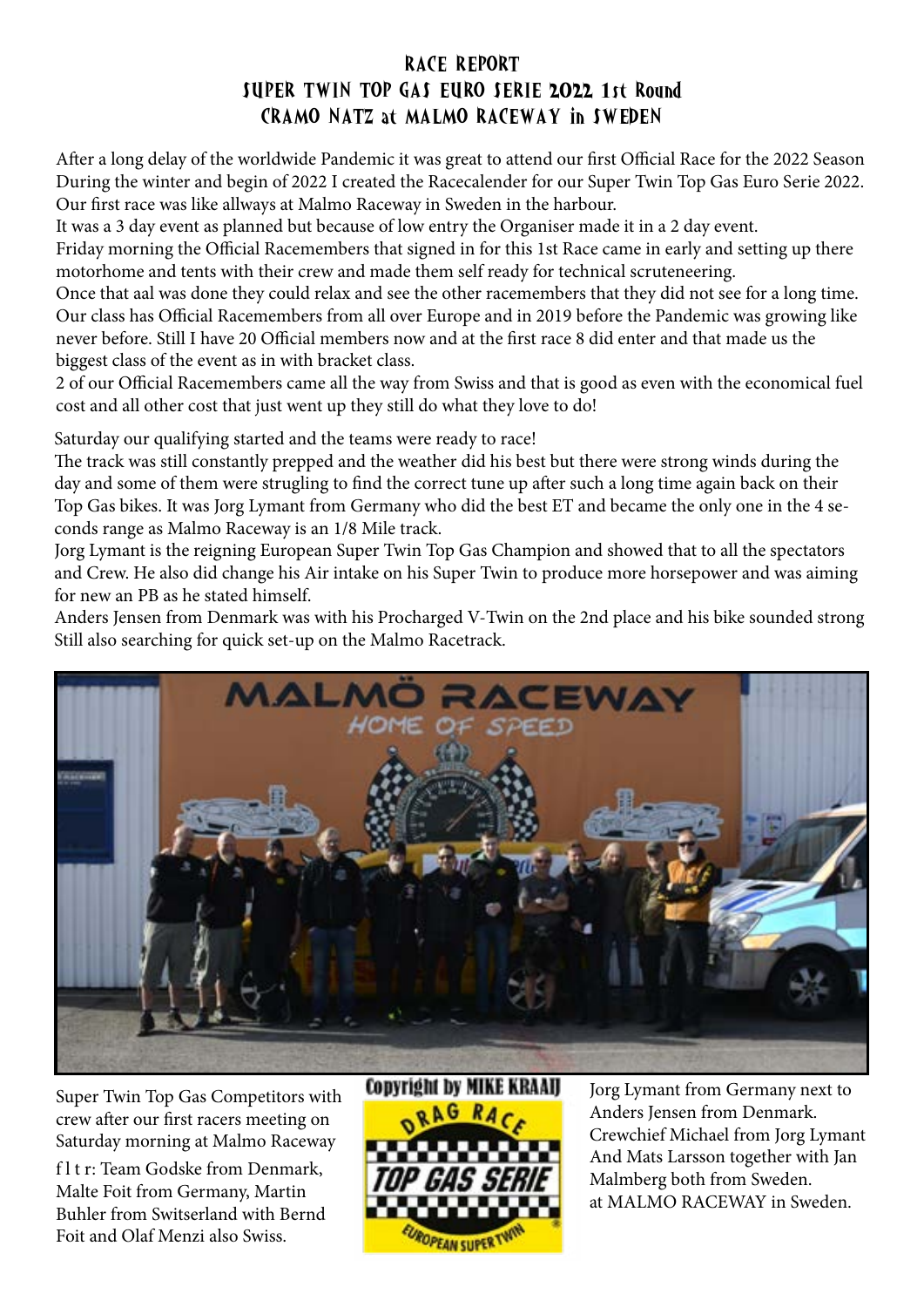## RACE REPORT SUPER TWIN TOP GAS EURO SERIE 2022 1st Round CRAMO NATZ at MALMO RACEWAY in SWEDEN

After a long delay of the worldwide Pandemic it was great to attend our first Official Race for the 2022 Season During the winter and begin of 2022 I created the Racecalender for our Super Twin Top Gas Euro Serie 2022. Our first race was like allways at Malmo Raceway in Sweden in the harbour.

It was a 3 day event as planned but because of low entry the Organiser made it in a 2 day event.

Friday morning the Official Racemembers that signed in for this 1st Race came in early and setting up there motorhome and tents with their crew and made them self ready for technical scruteneering.

Once that aal was done they could relax and see the other racemembers that they did not see for a long time. Our class has Official Racemembers from all over Europe and in 2019 before the Pandemic was growing like never before. Still I have 20 Official members now and at the first race 8 did enter and that made us the biggest class of the event as in with bracket class.

2 of our Official Racemembers came all the way from Swiss and that is good as even with the economical fuel cost and all other cost that just went up they still do what they love to do!

Saturday our qualifying started and the teams were ready to race!

The track was still constantly prepped and the weather did his best but there were strong winds during the day and some of them were strugling to find the correct tune up after such a long time again back on their Top Gas bikes. It was Jorg Lymant from Germany who did the best ET and became the only one in the 4 seconds range as Malmo Raceway is an 1/8 Mile track.

Jorg Lymant is the reigning European Super Twin Top Gas Champion and showed that to all the spectators and Crew. He also did change his Air intake on his Super Twin to produce more horsepower and was aiming for new an PB as he stated himself.

Anders Jensen from Denmark was with his Procharged V-Twin on the 2nd place and his bike sounded strong Still also searching for quick set-up on the Malmo Racetrack.



Super Twin Top Gas Competitors with crew after our first racers meeting on Saturday morning at Malmo Raceway

f l t r: Team Godske from Denmark, Malte Foit from Germany, Martin Buhler from Switserland with Bernd Foit and Olaf Menzi also Swiss.

## **CODYright by MIKE KRAAII** *EAN SUPE*

Jorg Lymant from Germany next to Anders Jensen from Denmark. Crewchief Michael from Jorg Lymant And Mats Larsson together with Jan Malmberg both from Sweden. at MALMO RACEWAY in Sweden.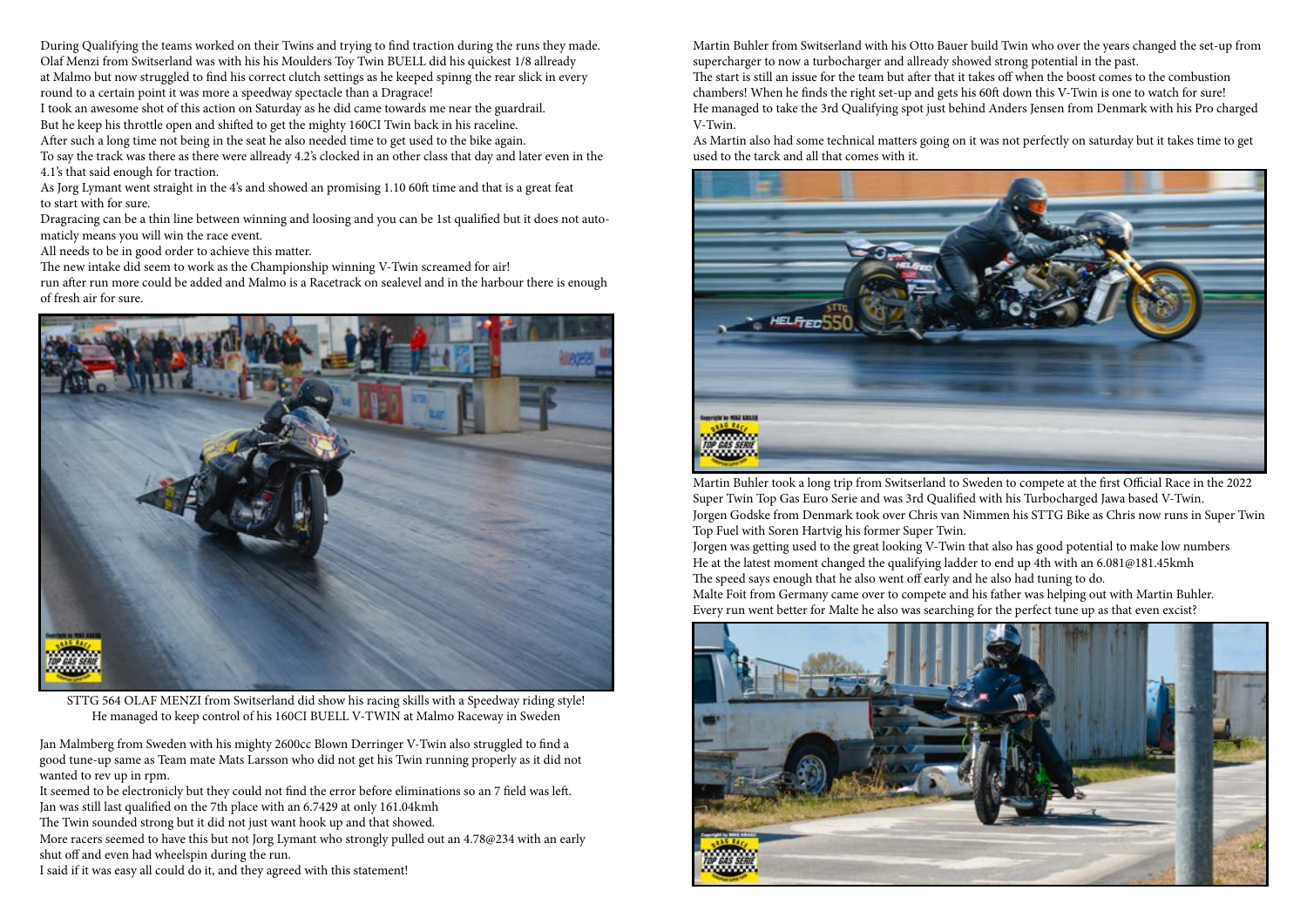During Qualifying the teams worked on their Twins and trying to find traction during the runs they made. Olaf Menzi from Switserland was with his his Moulders Toy Twin BUELL did his quickest 1/8 allready at Malmo but now struggled to find his correct clutch settings as he keeped spinng the rear slick in every round to a certain point it was more a speedway spectacle than a Dragrace!

I took an awesome shot of this action on Saturday as he did came towards me near the guardrail. But he keep his throttle open and shifted to get the mighty 160CI Twin back in his raceline.

After such a long time not being in the seat he also needed time to get used to the bike again.

To say the track was there as there were allready 4.2's clocked in an other class that day and later even in the 4.1's that said enough for traction.

As Jorg Lymant went straight in the 4's and showed an promising 1.10 60ft time and that is a great feat to start with for sure.

Dragracing can be a thin line between winning and loosing and you can be 1st qualified but it does not automaticly means you will win the race event.

All needs to be in good order to achieve this matter.

The new intake did seem to work as the Championship winning V-Twin screamed for air! run after run more could be added and Malmo is a Racetrack on sealevel and in the harbour there is enough of fresh air for sure.



STTG 564 OLAF MENZI from Switserland did show his racing skills with a Speedway riding style! He managed to keep control of his 160CI BUELL V-TWIN at Malmo Raceway in Sweden

Jan Malmberg from Sweden with his mighty 2600cc Blown Derringer V-Twin also struggled to find a good tune-up same as Team mate Mats Larsson who did not get his Twin running properly as it did not wanted to rev up in rpm.

It seemed to be electronicly but they could not find the error before eliminations so an 7 field was left. Jan was still last qualified on the 7th place with an 6.7429 at only 161.04kmh

The Twin sounded strong but it did not just want hook up and that showed.

More racers seemed to have this but not Jorg Lymant who strongly pulled out an 4.78@234 with an early shut off and even had wheelspin during the run.

I said if it was easy all could do it, and they agreed with this statement!

Martin Buhler from Switserland with his Otto Bauer build Twin who over the years changed the set-up from supercharger to now a turbocharger and allready showed strong potential in the past. The start is still an issue for the team but after that it takes off when the boost comes to the combustion chambers! When he finds the right set-up and gets his 60ft down this V-Twin is one to watch for sure! He managed to take the 3rd Qualifying spot just behind Anders Jensen from Denmark with his Pro charged V-Twin.

As Martin also had some technical matters going on it was not perfectly on saturday but it takes time to get used to the tarck and all that comes with it.



Martin Buhler took a long trip from Switserland to Sweden to compete at the first Official Race in the 2022 Super Twin Top Gas Euro Serie and was 3rd Qualified with his Turbocharged Jawa based V-Twin. Jorgen Godske from Denmark took over Chris van Nimmen his STTG Bike as Chris now runs in Super Twin Top Fuel with Soren Hartvig his former Super Twin. Jorgen was getting used to the great looking V-Twin that also has good potential to make low numbers He at the latest moment changed the qualifying ladder to end up 4th with an 6.081@181.45kmh The speed says enough that he also went off early and he also had tuning to do. Malte Foit from Germany came over to compete and his father was helping out with Martin Buhler. Every run went better for Malte he also was searching for the perfect tune up as that even excist?